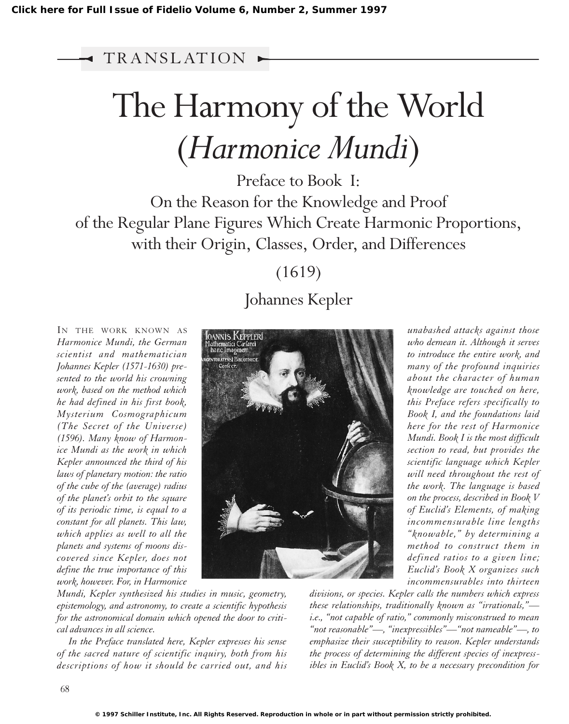TR ANSL AT ION

## The Harmony of the World (*Harmonice Mundi*)

Preface to Book I: On the Reason for the Knowledge and Proof of the Regular Plane Figures Which Create Harmonic Proportions, with their Origin, Classes, Order, and Differences

(1619)

## Johannes Kepler

IN THE WORK KNOWN AS *Harmonice Mundi, the German scientist and mathematician Johannes Kepler (1571-1630) presented to the world his crowning work, based on the method which he had defined in his first book, Mysterium Cosmographicum (The Secret of the Universe) (1596). Many know of Harmonice Mundi as the work in which Kepler announced the third of his laws of planetary motion: the ratio of the cube of the (average) radius of the planet's orbit to the square of its periodic time, is equal to a constant for all planets. This law, which applies as well to all the planets and systems of moons discovered since Kepler, does not define the true importance of this work, however. For, in Harmonice*



*unabashed attacks against those who demean it. Although it serves to introduce the entire work, and many of the profound inquiries about the character of human knowledge are touched on here, this Preface refers specifically to Book I, and the foundations laid here for the rest of Harmonice Mundi. Book I is the most difficult section to read, but provides the scientific language which Kepler will need throughout the rest of the work. The language is based on the process, described in Book V of Euclid's Elements, of making incommensurable line lengths "knowable," by determining a method to construct them in defined ratios to a given line; Euclid's Book X organizes such incommensurables into thirteen*

*Mundi, Kepler synthesized his studies in music, geometry, epistemology, and astronomy, to create a scientific hypothesis for the astronomical domain which opened the door to critical advances in all science.*

*In the Preface translated here, Kepler expresses his sense of the sacred nature of scientific inquiry, both from his descriptions of how it should be carried out, and his* *divisions, or species. Kepler calls the numbers which express these relationships, traditionally known as "irrationals," i.e., "not capable of ratio," commonly misconstrued to mean "not reasonable"—, "inexpressibles"—"not nameable"—, to emphasize their susceptibility to reason. Kepler understands the process of determining the different species of inexpressibles in Euclid's Book X, to be a necessary precondition for*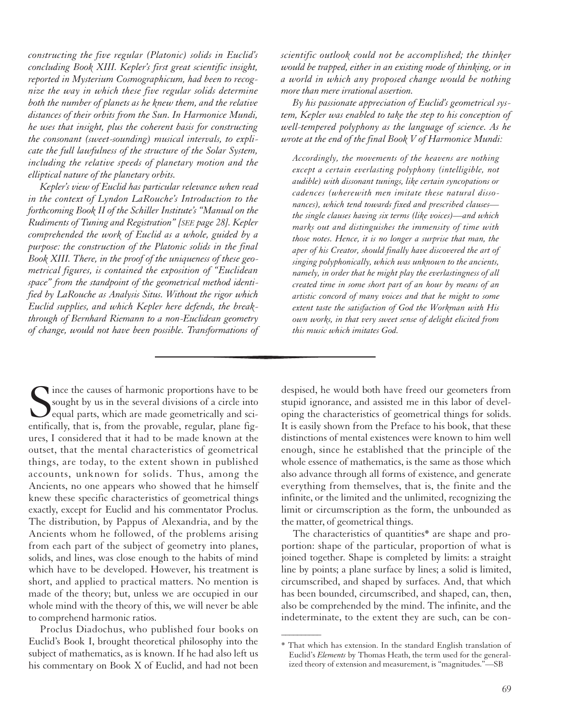*constructing the five regular (Platonic) solids in Euclid's concluding Book XIII. Kepler's first great scientific insight, reported in Mysterium Cosmographicum, had been to recognize the way in which these five regular solids determine both the number of planets as he knew them, and the relative distances of their orbits from the Sun. In Harmonice Mundi, he uses that insight, plus the coherent basis for constructing the consonant (sweet-sounding) musical intervals, to explicate the full lawfulness of the structure of the Solar System, including the relative speeds of planetary motion and the elliptical nature of the planetary orbits.*

*Kepler's view of Euclid has particular relevance when read in the context of Lyndon LaRouche's Introduction to the forthcoming Book II of the Schiller Institute's "Manual on the Rudiments of Tuning and Registration" [SEE page 28]. Kepler comprehended the work of Euclid as a whole, guided by a purpose: the construction of the Platonic solids in the final Book XIII. There, in the proof of the uniqueness of these geometrical figures, is contained the exposition of "Euclidean space" from the standpoint of the geometrical method identified by LaRouche as Analysis Situs. Without the rigor which Euclid supplies, and which Kepler here defends, the breakthrough of Bernhard Riemann to a non-Euclidean geometry of change, would not have been possible. Transformations of* *scientific outlook could not be accomplished; the thinker would be trapped, either in an existing mode of thinking, or in a world in which any proposed change would be nothing more than mere irrational assertion.*

*By his passionate appreciation of Euclid's geometrical system, Kepler was enabled to take the step to his conception of well-tempered polyphony as the language of science. As he wrote at the end of the final Book V of Harmonice Mundi:*

*Accordingly, the movements of the heavens are nothing except a certain everlasting polyphony (intelligible, not audible) with dissonant tunings, like certain syncopations or cadences (wherewith men imitate these natural dissonances), which tend towards fixed and prescribed clauses the single clauses having six terms (like voices)—and which marks out and distinguishes the immensity of time with those notes. Hence, it is no longer a surprise that man, the aper of his Creator, should finally have discovered the art of singing polyphonically, which was unknown to the ancients, namely, in order that he might play the everlastingness of all created time in some short part of an hour by means of an artistic concord of many voices and that he might to some extent taste the satisfaction of God the Workman with His own works, in that very sweet sense of delight elicited from this music which imitates God.*

Since the causes of harmonic proportions have to be sought by us in the several divisions of a circle into equal parts, which are made geometrically and scientifically, that is, from the provable, regular, plane figsought by us in the several divisions of a circle into equal parts, which are made geometrically and scientifically, that is, from the provable, regular, plane figures, I considered that it had to be made known at the outset, that the mental characteristics of geometrical things, are today, to the extent shown in published accounts, unknown for solids. Thus, among the Ancients, no one appears who showed that he himself knew these specific characteristics of geometrical things exactly, except for Euclid and his commentator Proclus. The distribution, by Pappus of Alexandria, and by the Ancients whom he followed, of the problems arising from each part of the subject of geometry into planes, solids, and lines, was close enough to the habits of mind which have to be developed. However, his treatment is short, and applied to practical matters. No mention is made of the theory; but, unless we are occupied in our whole mind with the theory of this, we will never be able to comprehend harmonic ratios.

Proclus Diadochus, who published four books on Euclid's Book I, brought theoretical philosophy into the subject of mathematics, as is known. If he had also left us his commentary on Book X of Euclid, and had not been despised, he would both have freed our geometers from stupid ignorance, and assisted me in this labor of developing the characteristics of geometrical things for solids. It is easily shown from the Preface to his book, that these distinctions of mental existences were known to him well enough, since he established that the principle of the whole essence of mathematics, is the same as those which also advance through all forms of existence, and generate everything from themselves, that is, the finite and the infinite, or the limited and the unlimited, recognizing the limit or circumscription as the form, the unbounded as the matter, of geometrical things.

The characteristics of quantities\* are shape and proportion: shape of the particular, proportion of what is joined together. Shape is completed by limits: a straight line by points; a plane surface by lines; a solid is limited, circumscribed, and shaped by surfaces. And, that which has been bounded, circumscribed, and shaped, can, then, also be comprehended by the mind. The infinite, and the indeterminate, to the extent they are such, can be con-

 $\overline{\phantom{a}}$ 

<sup>\*</sup> That which has extension. In the standard English translation of Euclid's *Elements* by Thomas Heath, the term used for the generalized theory of extension and measurement, is "magnitudes."—SB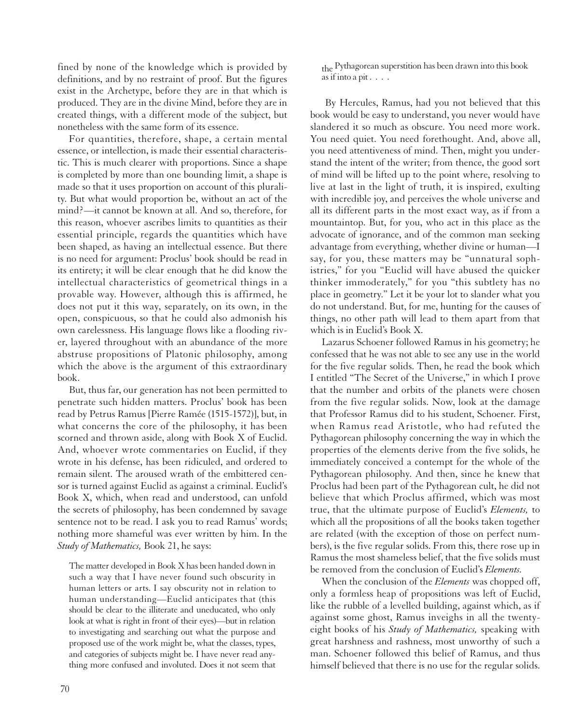fined by none of the knowledge which is provided by definitions, and by no restraint of proof. But the figures exist in the Archetype, before they are in that which is produced. They are in the divine Mind, before they are in created things, with a different mode of the subject, but nonetheless with the same form of its essence.

For quantities, therefore, shape, a certain mental essence, or intellection, is made their essential characteristic. This is much clearer with proportions. Since a shape is completed by more than one bounding limit, a shape is made so that it uses proportion on account of this plurality. But what would proportion be, without an act of the mind?—it cannot be known at all. And so, therefore, for this reason, whoever ascribes limits to quantities as their essential principle, regards the quantities which have been shaped, as having an intellectual essence. But there is no need for argument: Proclus' book should be read in its entirety; it will be clear enough that he did know the intellectual characteristics of geometrical things in a provable way. However, although this is affirmed, he does not put it this way, separately, on its own, in the open, conspicuous, so that he could also admonish his own carelessness. His language flows like a flooding river, layered throughout with an abundance of the more abstruse propositions of Platonic philosophy, among which the above is the argument of this extraordinary book.

But, thus far, our generation has not been permitted to penetrate such hidden matters. Proclus' book has been read by Petrus Ramus [Pierre Ramée (1515-1572)], but, in what concerns the core of the philosophy, it has been scorned and thrown aside, along with Book X of Euclid. And, whoever wrote commentaries on Euclid, if they wrote in his defense, has been ridiculed, and ordered to remain silent. The aroused wrath of the embittered censor is turned against Euclid as against a criminal. Euclid's Book X, which, when read and understood, can unfold the secrets of philosophy, has been condemned by savage sentence not to be read. I ask you to read Ramus' words; nothing more shameful was ever written by him. In the *Study of Mathematics,* Book 21, he says:

The matter developed in Book X has been handed down in such a way that I have never found such obscurity in human letters or arts. I say obscurity not in relation to human understanding—Euclid anticipates that (this should be clear to the illiterate and uneducated, who only look at what is right in front of their eyes)—but in relation to investigating and searching out what the purpose and proposed use of the work might be, what the classes, types, and categories of subjects might be. I have never read anything more confused and involuted. Does it not seem that

the Pythagorean superstition has been drawn into this book as if into a pit  $\ldots$ .

By Hercules, Ramus, had you not believed that this book would be easy to understand, you never would have slandered it so much as obscure. You need more work. You need quiet. You need forethought. And, above all, you need attentiveness of mind. Then, might you understand the intent of the writer; from thence, the good sort of mind will be lifted up to the point where, resolving to live at last in the light of truth, it is inspired, exulting with incredible joy, and perceives the whole universe and all its different parts in the most exact way, as if from a mountaintop. But, for you, who act in this place as the advocate of ignorance, and of the common man seeking advantage from everything, whether divine or human—I say, for you, these matters may be "unnatural sophistries," for you "Euclid will have abused the quicker thinker immoderately," for you "this subtlety has no place in geometry." Let it be your lot to slander what you do not understand. But, for me, hunting for the causes of things, no other path will lead to them apart from that which is in Euclid's Book X.

Lazarus Schoener followed Ramus in his geometry; he confessed that he was not able to see any use in the world for the five regular solids. Then, he read the book which I entitled "The Secret of the Universe," in which I prove that the number and orbits of the planets were chosen from the five regular solids. Now, look at the damage that Professor Ramus did to his student, Schoener. First, when Ramus read Aristotle, who had refuted the Pythagorean philosophy concerning the way in which the properties of the elements derive from the five solids, he immediately conceived a contempt for the whole of the Pythagorean philosophy. And then, since he knew that Proclus had been part of the Pythagorean cult, he did not believe that which Proclus affirmed, which was most true, that the ultimate purpose of Euclid's *Elements,* to which all the propositions of all the books taken together are related (with the exception of those on perfect numbers), is the five regular solids. From this, there rose up in Ramus the most shameless belief, that the five solids must be removed from the conclusion of Euclid's *Elements.*

When the conclusion of the *Elements* was chopped off, only a formless heap of propositions was left of Euclid, like the rubble of a levelled building, against which, as if against some ghost, Ramus inveighs in all the twentyeight books of his *Study of Mathematics,* speaking with great harshness and rashness, most unworthy of such a man. Schoener followed this belief of Ramus, and thus himself believed that there is no use for the regular solids.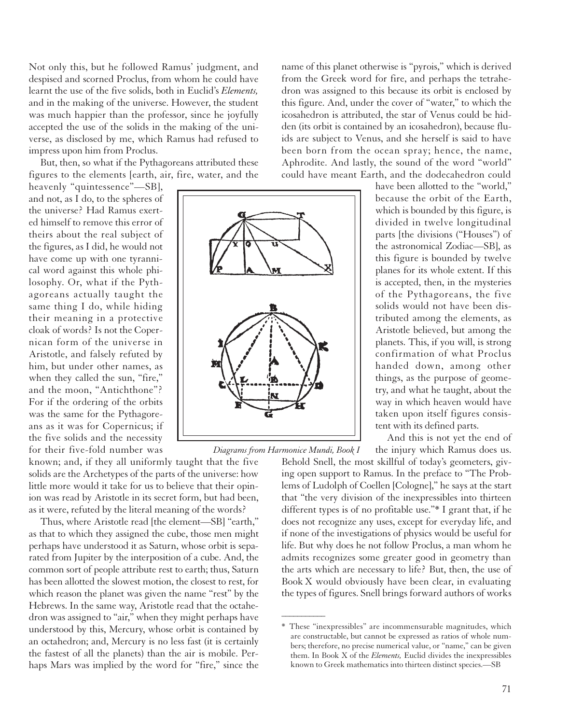Not only this, but he followed Ramus' judgment, and despised and scorned Proclus, from whom he could have learnt the use of the five solids, both in Euclid's *Elements,* and in the making of the universe. However, the student was much happier than the professor, since he joyfully accepted the use of the solids in the making of the universe, as disclosed by me, which Ramus had refused to impress upon him from Proclus.

But, then, so what if the Pythagoreans attributed these figures to the elements [earth, air, fire, water, and the

heavenly "quintessence"-SB], and not, as I do, to the spheres of the universe? Had Ramus exerted himself to remove this error of theirs about the real subject of the figures, as I did, he would not have come up with one tyrannical word against this whole philosophy. Or, what if the Pythagoreans actually taught the same thing I do, while hiding their meaning in a protective cloak of words? Is not the Copernican form of the universe in Aristotle, and falsely refuted by him, but under other names, as when they called the sun, "fire," and the moon, "Antichthone"? For if the ordering of the orbits was the same for the Pythagoreans as it was for Copernicus; if the five solids and the necessity for their five-fold number was

known; and, if they all uniformly taught that the five solids are the Archetypes of the parts of the universe: how little more would it take for us to believe that their opinion was read by Aristotle in its secret form, but had been, as it were, refuted by the literal meaning of the words?

Thus, where Aristotle read [the element—SB] "earth," as that to which they assigned the cube, those men might perhaps have understood it as Saturn, whose orbit is separated from Jupiter by the interposition of a cube. And, the common sort of people attribute rest to earth; thus, Saturn has been allotted the slowest motion, the closest to rest, for which reason the planet was given the name "rest" by the Hebrews. In the same way, Aristotle read that the octahedron was assigned to "air," when they might perhaps have understood by this, Mercury, whose orbit is contained by an octahedron; and, Mercury is no less fast (it is certainly the fastest of all the planets) than the air is mobile. Perhaps Mars was implied by the word for "fire," since the

name of this planet otherwise is "pyrois," which is derived from the Greek word for fire, and perhaps the tetrahedron was assigned to this because its orbit is enclosed by this figure. And, under the cover of "water," to which the icosahedron is attributed, the star of Venus could be hidden (its orbit is contained by an icosahedron), because fluids are subject to Venus, and she herself is said to have been born from the ocean spray; hence, the name, Aphrodite. And lastly, the sound of the word "world" could have meant Earth, and the dodecahedron could

> have been allotted to the "world," because the orbit of the Earth, which is bounded by this figure, is divided in twelve longitudinal parts [the divisions ("Houses") of the astronomical Zodiac—SB], as this figure is bounded by twelve planes for its whole extent. If this is accepted, then, in the mysteries of the Pythagoreans, the five solids would not have been distributed among the elements, as Aristotle believed, but among the planets. This, if you will, is strong confirmation of what Proclus handed down, among other things, as the purpose of geometry, and what he taught, about the way in which heaven would have taken upon itself figures consistent with its defined parts.

> And this is not yet the end of the injury which Ramus does us.

Behold Snell, the most skillful of today's geometers, giving open support to Ramus. In the preface to "The Problems of Ludolph of Coellen [Cologne]," he says at the start that "the very division of the inexpressibles into thirteen different types is of no profitable use."\* I grant that, if he does not recognize any uses, except for everyday life, and if none of the investigations of physics would be useful for life. But why does he not follow Proclus, a man whom he admits recognizes some greater good in geometry than the arts which are necessary to life? But, then, the use of Book X would obviously have been clear, in evaluating the types of figures. Snell brings forward authors of works



*Diagrams from Harmonice Mundi, Book I*

 $\overline{\phantom{a}}$ 

<sup>\*</sup> These "inexpressibles" are incommensurable magnitudes, which are constructable, but cannot be expressed as ratios of whole numbers; therefore, no precise numerical value, or "name," can be given them. In Book X of the *Elements,* Euclid divides the inexpressibles known to Greek mathematics into thirteen distinct species.—SB